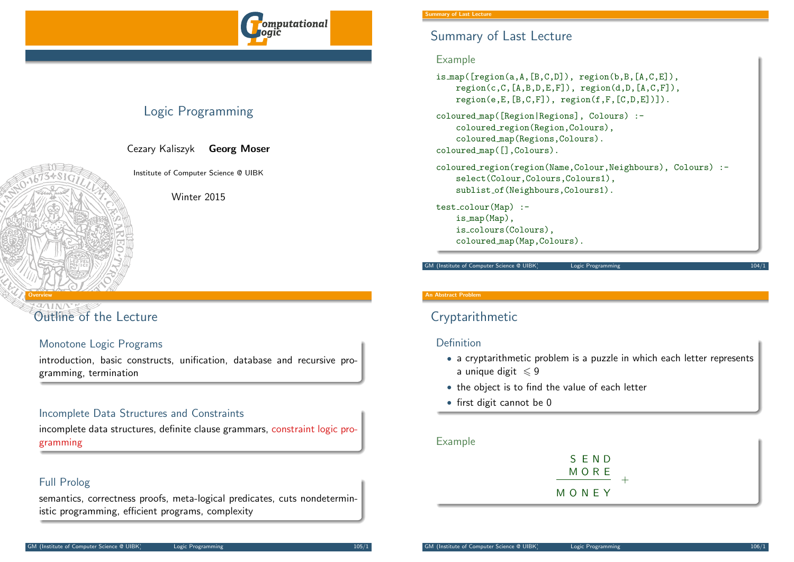

# Logic Programming

Cezary Kaliszyk Georg Moser

Institute of Computer Science @ UIBK

Winter 2015

# [Outline](#page-0-0) of the Lecture

<span id="page-0-0"></span>Overview

# Monotone Logic Programs

introduction, basic constructs, unification, database and recursive programming, termination

# Incomplete Data Structures and Constraints

incomplete data structures, definite clause grammars, constraint logic programming

# Full Prolog

semantics, correctness proofs, meta-logical predicates, cuts nondeterministic programming, efficient programs, complexity

# Summary of Last Lecture

### Example

```
is_map([region(a, A, [B, C, D]), region(b, B, [A, C, E]),region(c,C,[A,B,D,E,F]), region(d,D,[A,C,F]),region(e, E, [B, C, F]), region(f, F, [C, D, E])).
coloured map([Region|Regions], Colours) :-
    coloured region(Region,Colours),
    coloured map(Regions,Colours).
coloured map([],Colours).
coloured region(region(Name,Colour,Neighbours), Colours) :-
    select(Colour,Colours,Colours1),
    sublist of(Neighbours,Colours1).
test colour(Map) :-
    is map(Map),
    is colours(Colours),
```
GM (Institute of Computer Science @ UIBK) Logic Programming

coloured map(Map,Colours).

### An Abstract Problem

# Cryptarithmetic

### Definition

- a cryptarithmetic problem is a puzzle in which each letter represents a unique digit  $\leq 9$
- the object is to find the value of each letter
- first digit cannot be 0

## Example

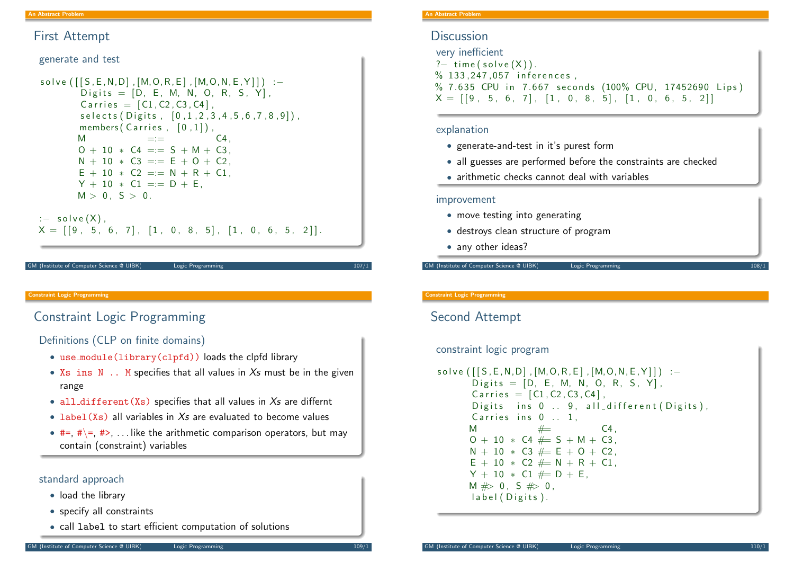## First Attempt

generate and test

```
solve ([S, E, N, D], [M, O, R, E], [M, O, N, E, Y]] :–
         Digits = [D, E, M, N, O, R, S, Y],
         Carries = [C1, C2, C3, C4],
         s e l e c t s ( Digits, [0, 1, 2, 3, 4, 5, 6, 7, 8, 9]),
         members (Carries, [0, 1]).
         M =:= C4,
         0 + 10 * C4 = = S + M + C3N + 10 * C3 == E + 0 + C2E + 10 * C2 = = N + R + C1Y + 10 * C1 == D + E.
         M > 0, S > 0.
: - solve (X).
X = \begin{bmatrix} 9 & 5 & 6 & 7 \end{bmatrix}, \begin{bmatrix} 1 & 0 & 8 & 5 \end{bmatrix}, \begin{bmatrix} 1 & 0 & 6 & 5 & 2 \end{bmatrix}
```
#### (Institute of Computer Science @ UIBK) Logic Programming

#### Constraint Logic Programming

# <span id="page-1-0"></span>[Con](#page-0-0)[strain](#page-1-0)t Logic Programming

Definitions (CLP on finite domains)

- use module(library(clpfd)) loads the clpfd library
- $Xs$  ins  $N$ .. M specifies that all values in  $Xs$  must be in the given range
- all\_different(Xs) specifies that all values in  $X_s$  are differnt
- $\bullet$  label(Xs) all variables in  $Xs$  are evaluated to become values
- $#=, #\$  =,  $#>$ ... like the arithmetic comparison operators, but may contain (constraint) variables

### standard approach

- load the library
- specify all constraints
- call label to start efficient computation of solutions

## **Discussion**

very inefficient  $?$  time (solve  $(X)$ ). % 133.247.057 inferences. % 7.635 CPU in 7.667 seconds (100% CPU, 17452690 Lips)  $X = [[9, 5, 6, 7], [1, 0, 8, 5], [1, 0, 6, 5, 2]]$ 

### explanation

- generate-and-test in it's purest form
- all guesses are performed before the constraints are checked
- arithmetic checks cannot deal with variables

### improvement

- move testing into generating
- destroys clean structure of program
- any other ideas?

GM (Institute of Computer Science @ UIBK) Logic Programming 108/1

#### Constraint Logic Programming

# Second Attempt

### constraint logic program

```
s o l v e ([S, E, N, D], [M, O, R, E], [M, O, N, E, Y]]) : -
      Digits = [D, E, M, N, O, R, S, Y],
      Carries = [C1, C2, C3, C4],
      Digits ins 0 \ldots 9, all different (Digits),
      Carries ins 0 \ldots 1.
      M \# C4.
      0 + 10 * C4 \neq S + M + C3N + 10 * C3 \n\# E + O + C2,
      E + 10 * C2 \neq N + R + C1Y + 10 * C1 \neq D + EM \# > 0, S \# > 0,
      label (Digits).
```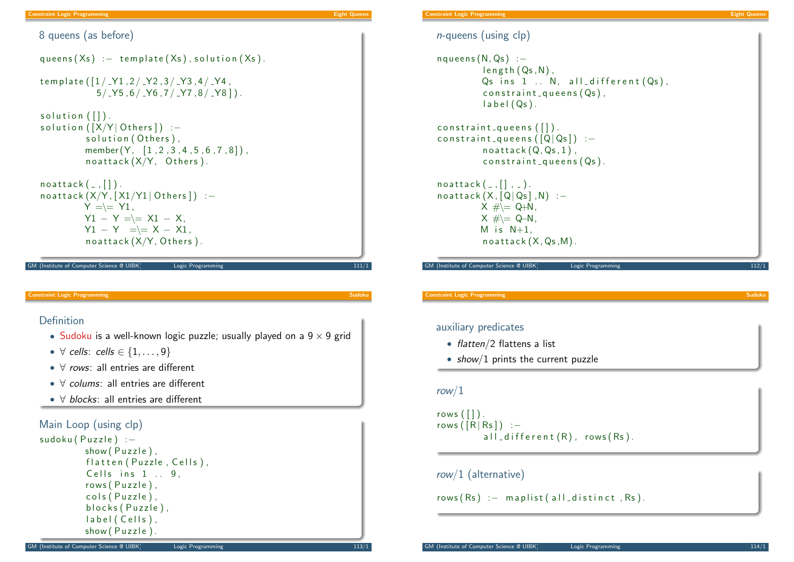#### Constraint Logic Programming Eight Queens and Constraint Constraint Constraint Constraint Constraint Queens and

Constraint Logic Programming Eight Queens

8 queens (as before) queens  $(Xs)$  :  $-$  template  $(Xs)$ , solution  $(Xs)$ . template  $([1 / 71, 2 / 72, 3 / 73, 4 / 74,$  $5/$   $Y5$ ,  $6/$   $Y6$ ,  $7/$   $Y7$ ,  $8/$   $Y8$ ]). solution  $( [] )$ . solution  $([X/Y]$  Others]) :solution (Others). member  $(Y, [1, 2, 3, 4, 5, 6, 7, 8])$ ,  $no{\text{attack}}(X/Y,$  Others).  $noattack([-, []).$  $no{\texttt{attack}}(X/Y, [X1/Y1 | Others]) :=$  $Y = = Y1$ .  $Y1 - Y = = \pm 1 - X$ ,  $Y1 - Y = \kappa X - X1$  $noattach(X/Y, Others)$ . GM (Institute of Computer Science @ UIBK) Logic Programming 111/1  $n$ -queens (using clp)  $n$  q ueens  $(N, Qs)$ : −  $length(Qs, N)$ ,  $Qs$  ins  $1$  .. N, all different  $(Qs)$ ,  $const$  raint  $queness (Qs)$ .  $label(Qs)$ . constraint  $quee$ ns  $($ []  $).$ constraint queens  $([Q|Q<sub>s</sub>])$ :  $no$  attack  $(Q, Qs, 1)$ .  $const$  raint  $q$  u e e n s  $(Qs)$ .  $noattack([-, [] , | ]$  $noattach(X, [Q|Q<sub>S</sub>] , N)$  :- $X \#$   $\leftarrow$  Q+N,  $X \# = Q-N$ , M is  $N+1$ .  $noattack(X,Qs,M)$ . GM (Institute of Computer Science @ UIBK) Logic Programming 112/1 **Constraint Logic Programming** Definition • Sudoku is a well-known logic puzzle; usually played on a  $9 \times 9$  grid •  $\forall$  cells: cells  $\in$  {1, ..., 9} • ∀ rows: all entries are different • ∀ colums: all entries are different • ∀ blocks: all entries are different Main Loop (using clp) sudoku ( Puzzle) :show (Puzzle). flatten (Puzzle, Cells), Cells ins  $1 \ldots 9$ .  $rows (Puzzle)$ . cols (Puzzle). blocks (Puzzle), label (Cells),  $show(Puzzle)$ . **Constraint Logic Programming** auxiliary predicates • flatten/2 flattens a list • show/1 prints the current puzzle row/1 rows  $($ [] $)$ . rows  $(\lceil R \rceil Rs \rceil)$  : – all  $-d$  if ferent  $(R)$ , rows  $(Rs)$ . row/1 (alternative)  $rows(Rs)$  :  $-$  maplist (all distinct, Rs).